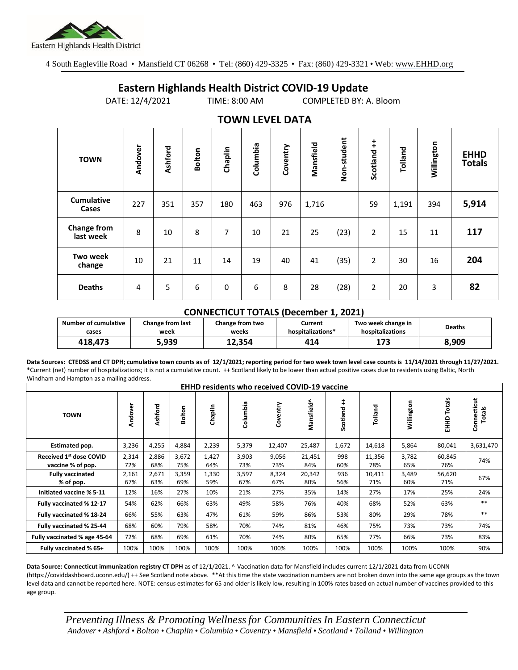

4 South Eagleville Road • Mansfield CT 06268 • Tel: (860) 429-3325 • Fax: (860) 429-3321 • Web: www.EHHD.org

## **Eastern Highlands Health District COVID-19 Update**

DATE: 12/4/2021 TIME: 8:00 AM COMPLETED BY: A. Bloom

| . <i>.</i>                      |                |         |               |             |          |          |           |             |                |         |            |                              |
|---------------------------------|----------------|---------|---------------|-------------|----------|----------|-----------|-------------|----------------|---------|------------|------------------------------|
| <b>TOWN</b>                     | Andover        | Ashford | <b>Bolton</b> | Chaplin     | Columbia | Coventry | Mansfield | Non-student | ŧ<br>Scotland  | Tolland | Willington | <b>EHHD</b><br><b>Totals</b> |
| <b>Cumulative</b><br>Cases      | 227            | 351     | 357           | 180         | 463      | 976      | 1,716     |             | 59             | 1,191   | 394        | 5,914                        |
| <b>Change from</b><br>last week | 8              | 10      | 8             | 7           | 10       | 21       | 25        | (23)        | 2              | 15      | 11         | 117                          |
| Two week<br>change              | 10             | 21      | 11            | 14          | 19       | 40       | 41        | (35)        | 2              | 30      | 16         | 204                          |
| <b>Deaths</b>                   | $\overline{4}$ | 5       | 6             | $\mathbf 0$ | 6        | 8        | 28        | (28)        | $\overline{2}$ | 20      | 3          | 82                           |

## **TOWN LEVEL DATA**

## **CONNECTICUT TOTALS (December 1, 2021)**

| <b>Number of cumulative</b> | Change from last | Change from two | Current           | Two week change in | <b>Deaths</b> |  |
|-----------------------------|------------------|-----------------|-------------------|--------------------|---------------|--|
| cases                       | week             | weeks           | hospitalizations* | hospitalizations   |               |  |
| 418.473                     | 5,939            | 12.354          | 414               | 173                | 8,909         |  |

**Data Sources: CTEDSS and CT DPH; cumulative town counts as of 12/1/2021; reporting period for two week town level case counts is 11/14/2021 through 11/27/2021.** \*Current (net) number of hospitalizations; it is not a cumulative count. ++ Scotland likely to be lower than actual positive cases due to residents using Baltic, North Windham and Hampton as a mailing address.

| <b>EHHD residents who received COVID-19 vaccine</b> |              |              |              |              |              |              |               |                        |               |              |                  |                       |
|-----------------------------------------------------|--------------|--------------|--------------|--------------|--------------|--------------|---------------|------------------------|---------------|--------------|------------------|-----------------------|
| <b>TOWN</b>                                         | Andover      | Ashford      | Bolton       | Chaplin      | Columbia     | Coventry     | Mansfield^    | $\ddagger$<br>Scotland | Tolland       | Willington   | Totals<br>요<br>표 | Connecticut<br>Totals |
| Estimated pop.                                      | 3,236        | 4,255        | 4,884        | 2,239        | 5,379        | 12,407       | 25,487        | 1,672                  | 14,618        | 5,864        | 80,041           | 3,631,470             |
| Received 1st dose COVID<br>vaccine % of pop.        | 2,314<br>72% | 2,886<br>68% | 3,672<br>75% | 1,427<br>64% | 3,903<br>73% | 9,056<br>73% | 21,451<br>84% | 998<br>60%             | 11,356<br>78% | 3,782<br>65% | 60,845<br>76%    | 74%                   |
| <b>Fully vaccinated</b><br>% of pop.                | 2,161<br>67% | 2,671<br>63% | 3,359<br>69% | 1,330<br>59% | 3,597<br>67% | 8,324<br>67% | 20,342<br>80% | 936<br>56%             | 10,411<br>71% | 3,489<br>60% | 56,620<br>71%    | 67%                   |
| Initiated vaccine % 5-11                            | 12%          | 16%          | 27%          | 10%          | 21%          | 27%          | 35%           | 14%                    | 27%           | 17%          | 25%              | 24%                   |
| Fully vaccinated % 12-17                            | 54%          | 62%          | 66%          | 63%          | 49%          | 58%          | 76%           | 40%                    | 68%           | 52%          | 63%              | $***$                 |
| Fully vaccinated % 18-24                            | 66%          | 55%          | 63%          | 47%          | 61%          | 59%          | 86%           | 53%                    | 80%           | 29%          | 78%              | $***$                 |
| Fully vaccinated % 25-44                            | 68%          | 60%          | 79%          | 58%          | 70%          | 74%          | 81%           | 46%                    | 75%           | 73%          | 73%              | 74%                   |
| Fully vaccinated % age 45-64                        | 72%          | 68%          | 69%          | 61%          | 70%          | 74%          | 80%           | 65%                    | 77%           | 66%          | 73%              | 83%                   |
| Fully vaccinated % 65+                              | 100%         | 100%         | 100%         | 100%         | 100%         | 100%         | 100%          | 100%                   | 100%          | 100%         | 100%             | 90%                   |

**Data Source: Connecticut immunization registry CT DPH** as of 12/1/2021. ^ Vaccination data for Mansfield includes current 12/1/2021 data from UCONN (https://coviddashboard.uconn.edu/) ++ See Scotland note above. \*\*At this time the state vaccination numbers are not broken down into the same age groups as the town level data and cannot be reported here. NOTE: census estimates for 65 and older is likely low, resulting in 100% rates based on actual number of vaccines provided to this age group.

*Preventing Illness & Promoting Wellnessfor Communities In Eastern Connecticut* Andover • Ashford • Bolton • Chaplin • Columbia • Coventry • Mansfield • Scotland • Tolland • Willington